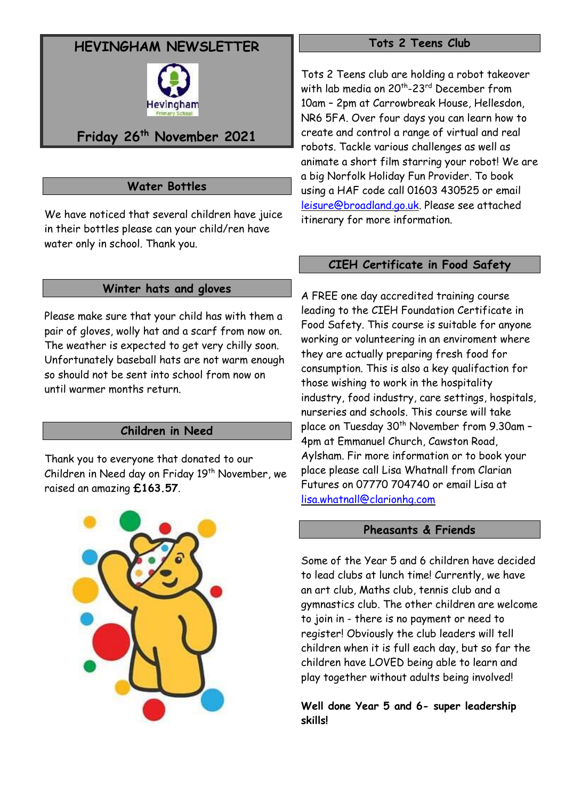# **HEVINGHAM NEWSLETTER**



# **Friday 26th November 2021**

# **Water Bottles**

We have noticed that several children have juice in their bottles please can your child/ren have water only in school. Thank you.

### **Winter hats and gloves**

Please make sure that your child has with them a pair of gloves, wolly hat and a scarf from now on. The weather is expected to get very chilly soon. Unfortunately baseball hats are not warm enough so should not be sent into school from now on until warmer months return.

# **Children in Need**

Thank you to everyone that donated to our Children in Need day on Friday 19<sup>th</sup> November, we raised an amazing **£163.57**.



#### **Tots 2 Teens Club**

Tots 2 Teens club are holding a robot takeover with lab media on 20th -23rd December from 10am – 2pm at Carrowbreak House, Hellesdon, NR6 5FA. Over four days you can learn how to create and control a range of virtual and real robots. Tackle various challenges as well as animate a short film starring your robot! We are a big Norfolk Holiday Fun Provider. To book using a HAF code call 01603 430525 or email [leisure@broadland.go.uk.](mailto:leisure@broadland.go.uk) Please see attached itinerary for more information.

#### **CIEH Certificate in Food Safety**

A FREE one day accredited training course leading to the CIEH Foundation Certificate in Food Safety. This course is suitable for anyone working or volunteering in an enviroment where they are actually preparing fresh food for consumption. This is also a key qualifaction for those wishing to work in the hospitality industry, food industry, care settings, hospitals, nurseries and schools. This course will take place on Tuesday 30<sup>th</sup> November from 9.30am -4pm at Emmanuel Church, Cawston Road, Aylsham. Fir more information or to book your place please call Lisa Whatnall from Clarian Futures on 07770 704740 or email Lisa at [lisa.whatnall@clarionhg.com](mailto:lisa.whatnall@clarionhg.com)

### **Pheasants & Friends**

Some of the Year 5 and 6 children have decided to lead clubs at lunch time! Currently, we have an art club, Maths club, tennis club and a gymnastics club. The other children are welcome to join in - there is no payment or need to register! Obviously the club leaders will tell children when it is full each day, but so far the children have LOVED being able to learn and play together without adults being involved!

**Well done Year 5 and 6- super leadership skills!**